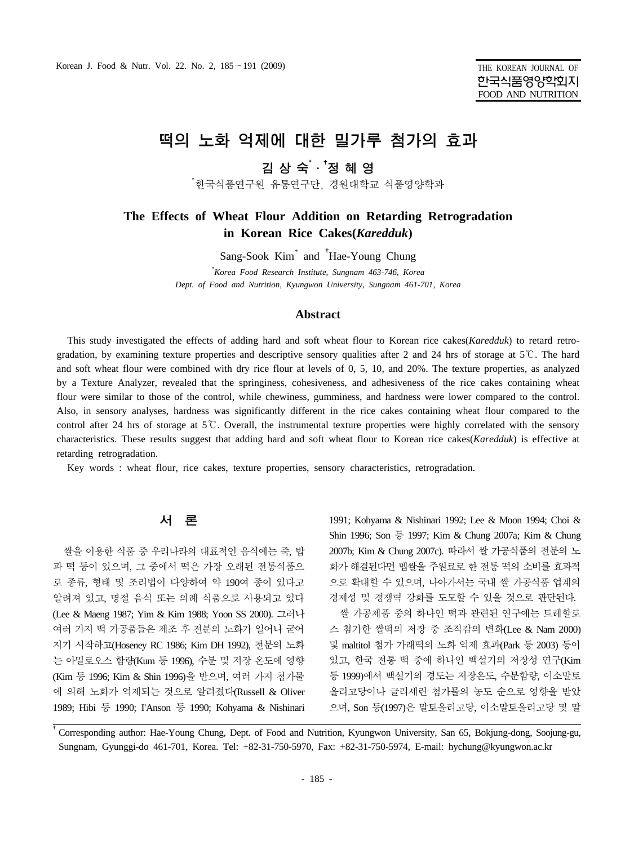# 떡의 노화 억제에 대한 밀가루 첨가의 효과

# 김 상 숙<sup>\* , \*</sup>정 혜 영

\* 한국식품연구원 유통연구단, 경원대학교 식품영양학과

# **The Effects of Wheat Flour Addition on Retarding Retrogradation in Korean Rice Cakes(***Karedduk***)**

Sang-Sook Kim\* and † Hae-Young Chung

*\* Korea Food Research Institute, Sungnam 463-746, Korea Dept. of Food and Nutrition, Kyungwon University, Sungnam 461-701, Korea*

#### **Abstract**

This study investigated the effects of adding hard and soft wheat flour to Korean rice cakes(*Karedduk*) to retard retrogradation, by examining texture properties and descriptive sensory qualities after 2 and 24 hrs of storage at  $5^{\circ}$ . The hard and soft wheat flour were combined with dry rice flour at levels of 0, 5, 10, and 20%. The texture properties, as analyzed by a Texture Analyzer, revealed that the springiness, cohesiveness, and adhesiveness of the rice cakes containing wheat flour were similar to those of the control, while chewiness, gumminess, and hardness were lower compared to the control. Also, in sensory analyses, hardness was significantly different in the rice cakes containing wheat flour compared to the control after 24 hrs of storage at 5℃. Overall, the instrumental texture properties were highly correlated with the sensory characteristics. These results suggest that adding hard and soft wheat flour to Korean rice cakes(*Karedduk*) is effective at retarding retrogradation.

Key words : wheat flour, rice cakes, texture properties, sensory characteristics, retrogradation.

#### 서 론

쌀을 이용한 식품 중 우리나라의 대표적인 음식에는 죽, 밥 과 떡 등이 있으며, 그 중에서 떡은 가장 오래된 전통식품으 로 종류, 형태 및 조리법이 다양하여 약 190여 종이 있다고 알려져 있고, 명절 음식 또는 의례 식품으로 사용되고 있다 (Lee & Maeng 1987; Yim & Kim 1988; Yoon SS 2000). 그러나 여러 가지 떡 가공품들은 제조 후 전분의 노화가 일어나 굳어 지기 시작하고(Hoseney RC 1986; Kim DH 1992), 전분의 노화 는 아밀로오스 함량(Kum 등 1996), 수분 및 저장 온도에 영향 (Kim 등 1996; Kim & Shin 1996)을 받으며, 여러 가지 첨가물 에 의해 노화가 억제되는 것으로 알려졌다(Russell & Oliver 1989; Hibi 등 1990; I'Anson 등 1990; Kohyama & Nishinari

1991; Kohyama & Nishinari 1992; Lee & Moon 1994; Choi & Shin 1996; Son 등 1997; Kim & Chung 2007a; Kim & Chung 2007b; Kim & Chung 2007c). 따라서 쌀 가공식품의 전분의 노 화가 해결된다면 멥쌀을 주원료로 한 전통 떡의 소비를 효과적 으로 확대할 수 있으며, 나아가서는 국내 쌀 가공식품 업계의 경제성 및 경쟁력 강화를 도모할 수 있을 것으로 판단된다. 쌀 가공제품 중의 하나인 떡과 관련된 연구에는 트레할로 스 첨가한 쌀떡의 저장 중 조직감의 변화(Lee & Nam 2000) 및 maltitol 첨가 가래떡의 노화 억제 효과(Park 등 2003) 등이 있고, 한국 전통 떡 중에 하나인 백설기의 저장성 연구(Kim 등 1999)에서 백설기의 경도는 저장온도, 수분함량, 이소말토 올리고당이나 글리세린 첨가물의 농도 순으로 영향을 받았 으며, Son 등(1997)은 말토올리고당, 이소말토올리고당 및 말

†Corresponding author: Hae-Young Chung, Dept. of Food and Nutrition, Kyungwon University, San 65, Bokjung-dong, Soojung-gu, Sungnam, Gyunggi-do 461-701, Korea. Tel: +82-31-750-5970, Fax: +82-31-750-5974, E-mail: hychung@kyungwon.ac.kr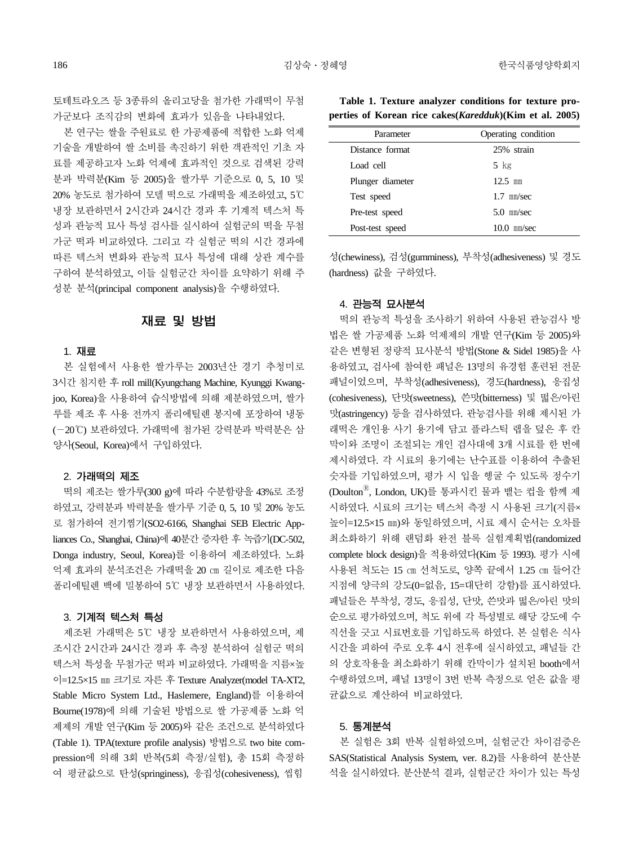토테트라오즈 등 3종류의 올리고당을 첨가한 가래떡이 무첨 가군보다 조직감의 변화에 효과가 있음을 나타내었다.

본 연구는 쌀을 주원료로 한 가공제품에 적합한 노화 억제 기술을 개발하여 쌀 소비를 촉진하기 위한 객관적인 기초 자 료를 제공하고자 노화 억제에 효과적인 것으로 검색된 강력 분과 박력분(Kim 등 2005)을 쌀가루 기준으로 0, 5, 10 및 20% 농도로 첨가하여 모델 떡으로 가래떡을 제조하였고, 5℃ 냉장 보관하면서 2시간과 24시간 경과 후 기계적 텍스처 특 성과 관능적 묘사 특성 검사를 실시하여 실험군의 떡을 무첨 가군 떡과 비교하였다. 그리고 각 실험군 떡의 시간 경과에 따른 텍스처 변화와 관능적 묘사 특성에 대해 상관 계수를 구하여 분석하였고, 이들 실험군간 차이를 요약하기 위해 주 성분 분석(principal component analysis)을 수행하였다.

# 재료 및 방법

#### 1. 재료

본 실험에서 사용한 쌀가루는 2003년산 경기 추청미로 3시간 침지한 후 roll mill(Kyungchang Machine, Kyunggi Kwangjoo, Korea)을 사용하여 습식방법에 의해 제분하였으며, 쌀가 루를 제조 후 사용 전까지 폴리에틸렌 봉지에 포장하여 냉동 (-20℃) 보관하였다. 가래떡에 첨가된 강력분과 박력분은 삼 양사(Seoul, Korea)에서 구입하였다.

#### 2. 가래떡의 제조

떡의 제조는 쌀가루(300 g)에 따라 수분함량을 43%로 조정 하였고, 강력분과 박력분을 쌀가루 기준 0, 5, 10 및 20% 농도 로 첨가하여 전기찜기(SO2-6166, Shanghai SEB Electric Appliances Co., Shanghai, China)에 40분간 증자한 후 녹즙기(DC-502, Donga industry, Seoul, Korea)를 이용하여 제조하였다. 노화 억제 효과의 분석조건은 가래떡을 20 ㎝ 길이로 제조한 다음 폴리에틸렌 백에 밀봉하여 5℃ 냉장 보관하면서 사용하였다.

#### 3. 기계적 텍스처 특성

제조된 가래떡은 5℃ 냉장 보관하면서 사용하였으며, 제 조시간 2시간과 24시간 경과 후 측정 분석하여 실험군 떡의 텍스처 특성을 무첨가군 떡과 비교하였다. 가래떡을 지름×높 이=12.5×15 ㎜ 크기로 자른 후 Texture Analyzer(model TA-XT2, Stable Micro System Ltd., Haslemere, England)를 이용하여 Bourne(1978)에 의해 기술된 방법으로 쌀 가공제품 노화 억 제제의 개발 연구(Kim 등 2005)와 같은 조건으로 분석하였다 (Table 1). TPA(texture profile analysis) 방법으로 two bite compression에 의해 3회 반복(5회 측정/실험), 총 15회 측정하 여 평균값으로 탄성(springiness), 응집성(cohesiveness), 씹힘

**Table 1. Texture analyzer conditions for texture properties of Korean rice cakes(***Karedduk***)(Kim et al. 2005)**

| Parameter        | Operating condition |
|------------------|---------------------|
| Distance format  | 25% strain          |
| Load cell        | $5$ kg              |
| Plunger diameter | $12.5$ mm           |
| Test speed       | $1.7$ mm/sec        |
| Pre-test speed   | $5.0$ mm/sec        |
| Post-test speed  | $10.0$ mm/sec       |

성(chewiness), 검성(gumminess), 부착성(adhesiveness) 및 경도 (hardness) 값을 구하였다.

#### 4. 관능적 묘사분석

떡의 관능적 특성을 조사하기 위하여 사용된 관능검사 방 법은 쌀 가공제품 노화 억제제의 개발 연구(Kim 등 2005)와 같은 변형된 정량적 묘사분석 방법(Stone & Sidel 1985)을 사 용하였고, 검사에 참여한 패널은 13명의 유경험 훈련된 전문 패널이었으며, 부착성(adhesiveness), 경도(hardness), 응집성 (cohesiveness), 단맛(sweetness), 쓴맛(bitterness) 및 떫은/아린 맛(astringency) 등을 검사하였다. 관능검사를 위해 제시된 가 래떡은 개인용 사기 용기에 담고 플라스틱 랩을 덮은 후 칸 막이와 조명이 조절되는 개인 검사대에 3개 시료를 한 번에 제시하였다. 각 시료의 용기에는 난수표를 이용하여 추출된 숫자를 기입하였으며, 평가 시 입을 헹굴 수 있도록 정수기 (DoultonⓇ, London, UK)를 통과시킨 물과 뱉는 컵을 함께 제 시하였다. 시료의 크기는 텍스처 측정 시 사용된 크기(지름× 높이=12.5×15 ㎜)와 동일하였으며, 시료 제시 순서는 오차를 최소화하기 위해 랜덤화 완전 블록 실험계획법(randomized complete block design)을 적용하였다(Kim 등 1993). 평가 시에 사용된 척도는 15 ㎝ 선척도로, 양쪽 끝에서 1.25 ㎝ 들어간 지점에 양극의 강도(0=없음, 15=대단히 강함)를 표시하였다. 패널들은 부착성, 경도, 응집성, 단맛, 쓴맛과 떫은/아린 맛의 순으로 평가하였으며, 척도 위에 각 특성별로 해당 강도에 수 직선을 긋고 시료번호를 기입하도록 하였다. 본 실험은 식사 시간을 피하여 주로 오후 4시 전후에 실시하였고, 패널들 간 의 상호작용을 최소화하기 위해 칸막이가 설치된 booth에서 수행하였으며, 패널 13명이 3번 반복 측정으로 얻은 값을 평 균값으로 계산하여 비교하였다.

#### 5. 통계분석

본 실험은 3회 반복 실험하였으며, 실험군간 차이검증은 SAS(Statistical Analysis System, ver. 8.2)를 사용하여 분산분 석을 실시하였다. 분산분석 결과, 실험군간 차이가 있는 특성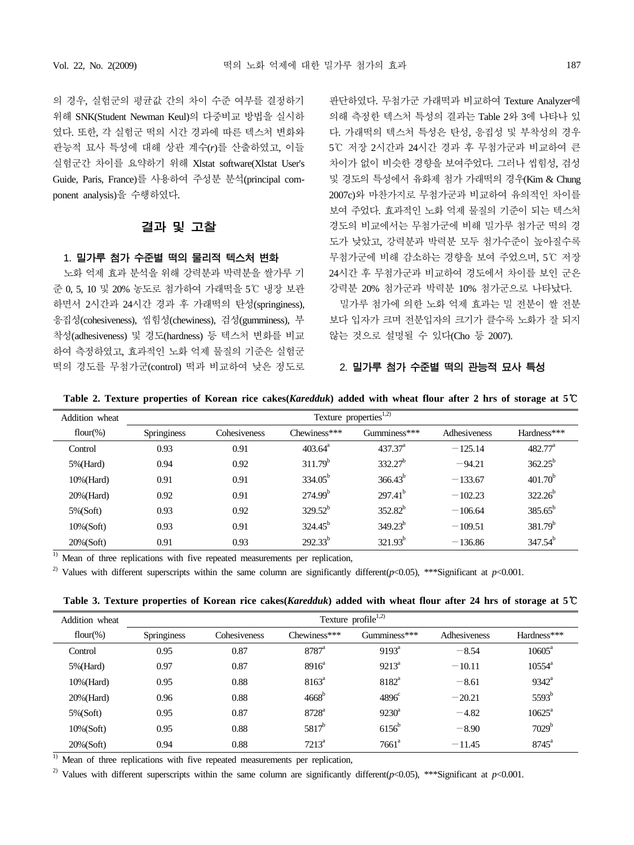의 경우, 실험군의 평균값 간의 차이 수준 여부를 결정하기 위해 SNK(Student Newman Keul)의 다중비교 방법을 실시하 였다. 또한, 각 실험군 떡의 시간 경과에 따른 텍스처 변화와 관능적 묘사 특성에 대해 상관 계수(*r*)를 산출하였고, 이들 실험군간 차이를 요약하기 위해 Xlstat software(Xlstat User's Guide, Paris, France)를 사용하여 주성분 분석(principal component analysis)을 수행하였다.

### 결과 및 고찰

#### 1. 밀가루 첨가 수준별 떡의 물리적 텍스처 변화

노화 억제 효과 분석을 위해 강력분과 박력분을 쌀가루 기 준 0, 5, 10 및 20% 농도로 첨가하여 가래떡을 5℃ 냉장 보관 하면서 2시간과 24시간 경과 후 가래떡의 탄성(springiness), 응집성(cohesiveness), 씹힘성(chewiness), 검성(gumminess), 부 착성(adhesiveness) 및 경도(hardness) 등 텍스처 변화를 비교 하여 측정하였고, 효과적인 노화 억제 물질의 기준은 실험군 떡의 경도를 무첨가군(control) 떡과 비교하여 낮은 정도로 판단하였다. 무첨가군 가래떡과 비교하여 Texture Analyzer에 의해 측정한 텍스처 특성의 결과는 Table 2와 3에 나타나 있 다. 가래떡의 텍스처 특성은 탄성, 응집성 및 부착성의 경우 5℃ 저장 2시간과 24시간 경과 후 무첨가군과 비교하여 큰 차이가 없이 비슷한 경향을 보여주었다. 그러나 씹힘성, 검성 및 경도의 특성에서 유화제 첨가 가래떡의 경우(Kim & Chung 2007c)와 마찬가지로 무첨가군과 비교하여 유의적인 차이를 보여 주었다. 효과적인 노화 억제 물질의 기준이 되는 텍스처 경도의 비교에서는 무첨가군에 비해 밀가루 첨가군 떡의 경 도가 낮았고, 강력분과 박력분 모두 첨가수준이 높아질수록 무첨가군에 비해 감소하는 경향을 보여 주었으며, 5℃ 저장 24시간 후 무첨가군과 비교하여 경도에서 차이를 보인 군은 강력분 20% 첨가군과 박력분 10% 첨가군으로 나타났다.

밀가루 첨가에 의한 노화 억제 효과는 밀 전분이 쌀 전분 보다 입자가 크며 전분입자의 크기가 클수록 노화가 잘 되지 않는 것으로 설명될 수 있다(Cho 등 2007).

#### 2. 밀가루 첨가 수준별 떡의 관능적 묘사 특성

**Table 2. Texture properties of Korean rice cakes(***Karedduk***) added with wheat flour after 2 hrs of storage at 5**℃

| Addition wheat | Texture properties <sup>1,2)</sup> |              |                  |                     |              |                  |
|----------------|------------------------------------|--------------|------------------|---------------------|--------------|------------------|
| flour(%)       | Springiness                        | Cohesiveness | Chewiness***     | Gumminess***        | Adhesiveness | Hardness***      |
| Control        | 0.93                               | 0.91         | $403.64^{\circ}$ | 437.37 <sup>a</sup> | $-125.14$    | $482.77^{\circ}$ |
| $5\%$ (Hard)   | 0.94                               | 0.92         | $311.79^b$       | $332.27^{b}$        | $-94.21$     | $362.25^{b}$     |
| $10\%$ (Hard)  | 0.91                               | 0.91         | $334.05^b$       | $366.43^{b}$        | $-133.67$    | $401.70^{b}$     |
| 20% (Hard)     | 0.92                               | 0.91         | $274.99^{b}$     | $297.41^{b}$        | $-102.23$    | $322.26^{b}$     |
| $5\%$ (Soft)   | 0.93                               | 0.92         | $329.52^b$       | $352.82^{b}$        | $-106.64$    | $385.65^{b}$     |
| $10\%$ (Soft)  | 0.93                               | 0.91         | $324.45^{b}$     | $349.23^{b}$        | $-109.51$    | $381.79^{b}$     |
| $20\%$ (Soft)  | 0.91                               | 0.93         | $292.33^{b}$     | $321.93^{b}$        | $-136.86$    | $347.54^b$       |

 $1)$  Mean of three replications with five repeated measurements per replication,

<sup>2)</sup> Values with different superscripts within the same column are significantly different( $p<0.05$ ), \*\*\*Significant at  $p<0.001$ .

|  | Table 3. Texture properties of Korean rice cakes (Karedduk) added with wheat flour after 24 hrs of storage at $5^\circ$ |  |  |  |
|--|-------------------------------------------------------------------------------------------------------------------------|--|--|--|
|  |                                                                                                                         |  |  |  |

| Addition wheat | Texture profile <sup><math>1,2)</math></sup> |              |                     |                   |              |                   |
|----------------|----------------------------------------------|--------------|---------------------|-------------------|--------------|-------------------|
| flour(%)       | Springiness                                  | Cohesiveness | Chewiness***        | Gumminess***      | Adhesiveness | Hardness***       |
| Control        | 0.95                                         | 0.87         | $8787^{\circ}$      | $9193^{\circ}$    | $-8.54$      | $10605^a$         |
| 5%(Hard)       | 0.97                                         | 0.87         | $8916^a$            | $9213^a$          | $-10.11$     | $10554^{\circ}$   |
| 10%(Hard)      | 0.95                                         | 0.88         | $8163^{\circ}$      | 8182 <sup>a</sup> | $-8.61$      | $9342^a$          |
| 20% (Hard)     | 0.96                                         | 0.88         | 4668 <sup>b</sup>   | $4896^{\circ}$    | $-20.21$     | 5593 <sup>b</sup> |
| $5\%$ (Soft)   | 0.95                                         | 0.87         | $8728^{\mathrm{a}}$ | $9230^{\circ}$    | $-4.82$      | $10625^a$         |
| $10\%$ (Soft)  | 0.95                                         | 0.88         | $5817^{b}$          | $6156^b$          | $-8.90$      | 7029 <sup>b</sup> |
| $20\%$ (Soft)  | 0.94                                         | 0.88         | $7213^a$            | $7661^{\circ}$    | $-11.45$     | $8745^{\circ}$    |

 $1)$  Mean of three replications with five repeated measurements per replication,

<sup>2)</sup> Values with different superscripts within the same column are significantly different( $p$ <0.05), \*\*\*Significant at  $p$ <0.001.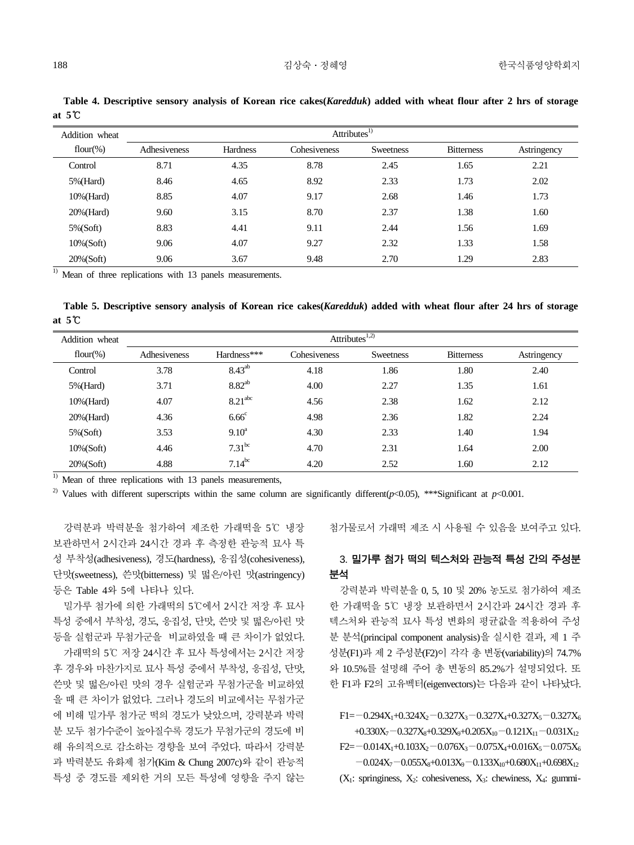| Addition wheat | Attributes <sup>1)</sup> |                 |              |                  |                   |             |
|----------------|--------------------------|-----------------|--------------|------------------|-------------------|-------------|
| flour(%)       | Adhesiveness             | <b>Hardness</b> | Cohesiveness | <b>Sweetness</b> | <b>Bitterness</b> | Astringency |
| Control        | 8.71                     | 4.35            | 8.78         | 2.45             | 1.65              | 2.21        |
| $5\%$ (Hard)   | 8.46                     | 4.65            | 8.92         | 2.33             | 1.73              | 2.02        |
| $10\%$ (Hard)  | 8.85                     | 4.07            | 9.17         | 2.68             | 1.46              | 1.73        |
| $20\%$ (Hard)  | 9.60                     | 3.15            | 8.70         | 2.37             | 1.38              | 1.60        |
| $5\%$ (Soft)   | 8.83                     | 4.41            | 9.11         | 2.44             | 1.56              | 1.69        |
| $10\%$ (Soft)  | 9.06                     | 4.07            | 9.27         | 2.32             | 1.33              | 1.58        |

20%(Soft) 9.06 3.67 9.48 2.70 1.29 2.83

**Table 4. Descriptive sensory analysis of Korean rice cakes(***Karedduk***) added with wheat flour after 2 hrs of storage at 5**℃

 $\frac{1}{1}$  Mean of three replications with 13 panels measurements.

**Table 5. Descriptive sensory analysis of Korean rice cakes(***Karedduk***) added with wheat flour after 24 hrs of storage at 5**℃

| Addition wheat | Attributes $1,2)$ |                     |              |           |                   |             |
|----------------|-------------------|---------------------|--------------|-----------|-------------------|-------------|
| flour(%)       | Adhesiveness      | Hardness***         | Cohesiveness | Sweetness | <b>Bitterness</b> | Astringency |
| Control        | 3.78              | $8.43^{ab}$         | 4.18         | 1.86      | 1.80              | 2.40        |
| $5\%$ (Hard)   | 3.71              | $8.82^{ab}$         | 4.00         | 2.27      | 1.35              | 1.61        |
| $10\%$ (Hard)  | 4.07              | 8.21 <sup>abc</sup> | 4.56         | 2.38      | 1.62              | 2.12        |
| $20\%$ (Hard)  | 4.36              | $6.66^{\circ}$      | 4.98         | 2.36      | 1.82              | 2.24        |
| $5\%$ (Soft)   | 3.53              | $9.10^a$            | 4.30         | 2.33      | 1.40              | 1.94        |
| $10\%$ (Soft)  | 4.46              | 7.31 <sup>bc</sup>  | 4.70         | 2.31      | 1.64              | 2.00        |
| $20\%$ (Soft)  | 4.88              | $7.14^{bc}$         | 4.20         | 2.52      | 1.60              | 2.12        |

 $<sup>1)</sup>$  Mean of three replications with 13 panels measurements,</sup>

<sup>2)</sup> Values with different superscripts within the same column are significantly different( $p$ <0.05), \*\*\*Significant at  $p$ <0.001.

강력분과 박력분을 첨가하여 제조한 가래떡을 5℃ 냉장 보관하면서 2시간과 24시간 경과 후 측정한 관능적 묘사 특 성 부착성(adhesiveness), 경도(hardness), 응집성(cohesiveness), 단맛(sweetness), 쓴맛(bitterness) 및 떫은/아린 맛(astringency) 등은 Table 4와 5에 나타나 있다.

밀가루 첨가에 의한 가래떡의 5℃에서 2시간 저장 후 묘사 특성 중에서 부착성, 경도, 응집성, 단맛, 쓴맛 및 떫은/아린 맛 등을 실험군과 무첨가군을 비교하였을 때 큰 차이가 없었다. 가래떡의 5℃ 저장 24시간 후 묘사 특성에서는 2시간 저장 후 경우와 마찬가지로 묘사 특성 중에서 부착성, 응집성, 단맛, 쓴맛 및 떫은/아린 맛의 경우 실험군과 무첨가군을 비교하였 을 때 큰 차이가 없었다. 그러나 경도의 비교에서는 무첨가군 에 비해 밀가루 첨가군 떡의 경도가 낮았으며, 강력분과 박력 분 모두 첨가수준이 높아질수록 경도가 무첨가군의 경도에 비 해 유의적으로 감소하는 경향을 보여 주었다. 따라서 강력분 과 박력분도 유화제 첨가(Kim & Chung 2007c)와 같이 관능적 특성 중 경도를 제외한 거의 모든 특성에 영향을 주지 않는 첨가물로서 가래떡 제조 시 사용될 수 있음을 보여주고 있다.

# 3. 밀가루 첨가 떡의 텍스처와 관능적 특성 간의 주성분 분석

강력분과 박력분을 0, 5, 10 및 20% 농도로 첨가하여 제조 한 가래떡을 5℃ 냉장 보관하면서 2시간과 24시간 경과 후 텍스처와 관능적 묘사 특성 변화의 평균값을 적용하여 주성 분 분석(principal component analysis)을 실시한 결과, 제 1 주 성분(F1)과 제 2 주성분(F2)이 각각 총 변동(variability)의 74.7% 와 10.5%를 설명해 주어 총 변동의 85.2%가 설명되었다. 또 한 F1과 F2의 고유벡터(eigenvectors)는 다음과 같이 나타났다.

 $F1 = -0.294X_1 + 0.324X_2 - 0.327X_3 - 0.327X_4 + 0.327X_5 - 0.327X_6$ +0.330X<sub>7</sub> - 0.327X<sub>8</sub>+0.329X<sub>9</sub>+0.205X<sub>10</sub> - 0.121X<sub>11</sub> - 0.031X<sub>12</sub>  $F2=-0.014X_1+0.103X_2-0.076X_3-0.075X_4+0.016X_5-0.075X_6$  $-0.024X_7-0.055X_8+0.013X_9-0.133X_{10}+0.680X_{11}+0.698X_{12}$  $(X_1:$  springiness,  $X_2:$  cohesiveness,  $X_3:$  chewiness,  $X_4:$  gummi-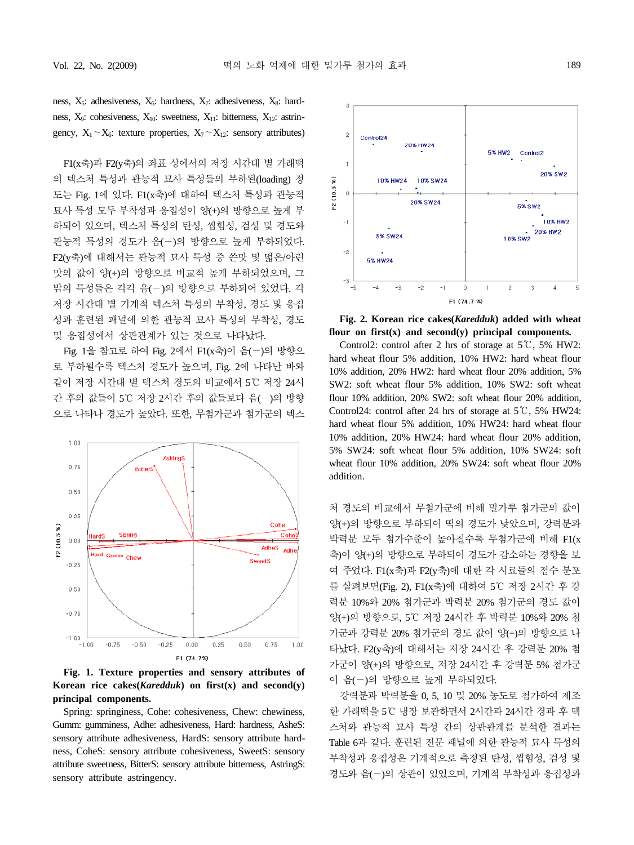F1(x축)과 F2(y축)의 좌표 상에서의 저장 시간대 별 가래떡 의 텍스처 특성과 관능적 묘사 특성들의 부하된(loading) 정 도는 Fig. 1에 있다. F1(x축)에 대하여 텍스처 특성과 관능적 묘사 특성 모두 부착성과 응집성이 양(+)의 방향으로 높게 부 하되어 있으며, 텍스처 특성의 탄성, 씹힘성, 검성 및 경도와 관능적 특성의 경도가 음(-)의 방향으로 높게 부하되었다. F2(y축)에 대해서는 관능적 묘사 특성 중 쓴맛 및 떫은/아린 맛의 값이 양(+)의 방향으로 비교적 높게 부하되었으며, 그 밖의 특성들은 각각 음(-)의 방향으로 부하되어 있었다. 각 저장 시간대 별 기계적 텍스처 특성의 부착성, 경도 및 응집 성과 훈련된 패널에 의한 관능적 묘사 특성의 부착성, 경도 및 응집성에서 상관관계가 있는 것으로 나타났다.

Fig. 1을 참고로 하여 Fig. 2에서 F1(x축)이 음(-)의 방향으 로 부하될수록 텍스처 경도가 높으며, Fig. 2에 나타난 바와 같이 저장 시간대 별 텍스처 경도의 비교에서 5℃ 저장 24시 간 후의 값들이 5℃ 저장 2시간 후의 값들보다 음(-)의 방향 으로 나타나 경도가 높았다. 또한, 무첨가군과 첨가군의 텍스



**Fig. 1. Texture properties and sensory attributes of Korean rice cakes(***Karedduk***) on first(x) and second(y) principal components.**

Spring: springiness, Cohe: cohesiveness, Chew: chewiness, Gumm: gumminess, Adhe: adhesiveness, Hard: hardness, AsheS: sensory attribute adhesiveness, HardS: sensory attribute hardness, CoheS: sensory attribute cohesiveness, SweetS: sensory attribute sweetness, BitterS: sensory attribute bitterness, AstringS: sensory attribute astringency.



**Fig. 2. Korean rice cakes(***Karedduk***) added with wheat flour on first(x) and second(y) principal components.**

Control2: control after 2 hrs of storage at  $5^{\circ}$ , 5% HW2: hard wheat flour 5% addition, 10% HW2: hard wheat flour 10% addition, 20% HW2: hard wheat flour 20% addition, 5% SW2: soft wheat flour 5% addition, 10% SW2: soft wheat flour 10% addition, 20% SW2: soft wheat flour 20% addition, Control24: control after 24 hrs of storage at 5℃, 5% HW24: hard wheat flour 5% addition, 10% HW24: hard wheat flour 10% addition, 20% HW24: hard wheat flour 20% addition, 5% SW24: soft wheat flour 5% addition, 10% SW24: soft wheat flour 10% addition, 20% SW24: soft wheat flour 20% addition.

처 경도의 비교에서 무첨가군에 비해 밀가루 첨가군의 값이 양(+)의 방향으로 부하되어 떡의 경도가 낮았으며, 강력분과 박력분 모두 첨가수준이 높아질수록 무첨가군에 비해 F1(x 축)이 양(+)의 방향으로 부하되어 경도가 감소하는 경향을 보 여 주었다. F1(x축)과 F2(y축)에 대한 각 시료들의 점수 분포 를 살펴보면(Fig. 2), F1(x축)에 대하여 5℃ 저장 2시간 후 강 력분 10%와 20% 첨가군과 박력분 20% 첨가군의 경도 값이 양(+)의 방향으로, 5℃ 저장 24시간 후 박력분 10%와 20% 첨 가군과 강력분 20% 첨가군의 경도 값이 양(+)의 방향으로 나 타났다. F2(y축)에 대해서는 저장 24시간 후 강력분 20% 첨 가군이 양(+)의 방향으로, 저장 24시간 후 강력분 5% 첨가군 이 음(-)의 방향으로 높게 부하되었다.

강력분과 박력분을 0, 5, 10 및 20% 농도로 첨가하여 제조 한 가래떡을 5℃ 냉장 보관하면서 2시간과 24시간 경과 후 텍 스처와 관능적 묘사 특성 간의 상관관계를 분석한 결과는 Table 6과 같다. 훈련된 전문 패널에 의한 관능적 묘사 특성의 부착성과 응집성은 기계적으로 측정된 탄성, 씹힘성, 검성 및 경도와 음(-)의 상관이 있었으며, 기계적 부착성과 응집성과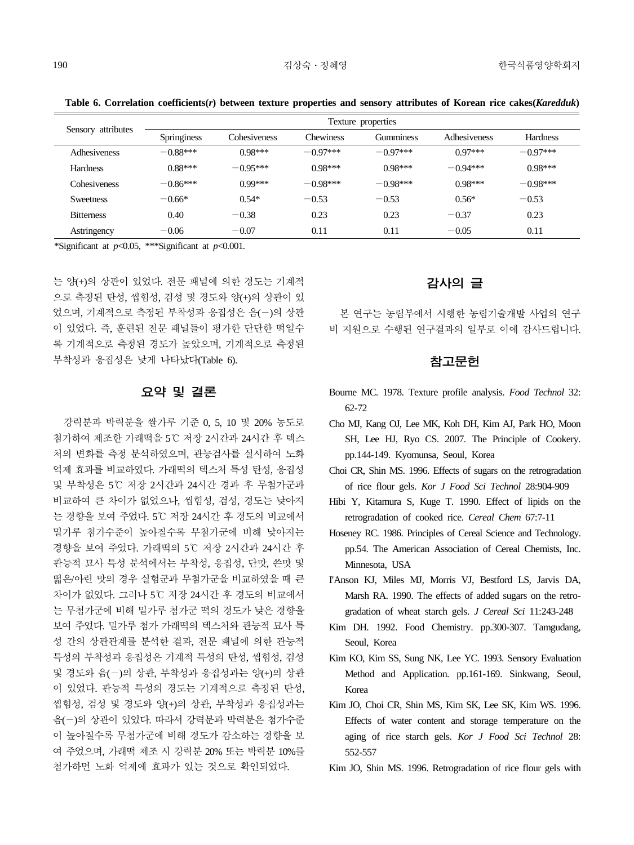**Table 6. Correlation coefficients(***r***) between texture properties and sensory attributes of Korean rice cakes(***Karedduk***)**

| Sensory attributes  | Texture properties |              |            |            |              |            |  |
|---------------------|--------------------|--------------|------------|------------|--------------|------------|--|
|                     | Springiness        | Cohesiveness | Chewiness  | Gumminess  | Adhesiveness | Hardness   |  |
| Adhesiveness        | $-0.88***$         | $0.98***$    | $-0.97***$ | $-0.97***$ | $0.97***$    | $-0.97***$ |  |
| <b>Hardness</b>     | $0.88***$          | $-0.95***$   | $0.98***$  | $0.98***$  | $-0.94***$   | $0.98***$  |  |
| <b>Cohesiveness</b> | $-0.86***$         | $0.99***$    | $-0.98***$ | $-0.98***$ | $0.98***$    | $-0.98***$ |  |
| <b>Sweetness</b>    | $-0.66*$           | $0.54*$      | $-0.53$    | $-0.53$    | $0.56*$      | $-0.53$    |  |
| <b>Bitterness</b>   | 0.40               | $-0.38$      | 0.23       | 0.23       | $-0.37$      | 0.23       |  |
| Astringency         | $-0.06$            | $-0.07$      | 0.11       | 0.11       | $-0.05$      | 0.11       |  |

\*Significant at *p*<0.05, \*\*\*Significant at *p*<0.001.

는 양(+)의 상관이 있었다. 전문 패널에 의한 경도는 기계적 으로 측정된 탄성, 씹힘성, 검성 및 경도와 양(+)의 상관이 있 었으며, 기계적으로 측정된 부착성과 응집성은 음(-)의 상관 이 있었다. 즉, 훈련된 전문 패널들이 평가한 단단한 떡일수 록 기계적으로 측정된 경도가 높았으며, 기계적으로 측정된 부착성과 응집성은 낮게 나타났다(Table 6).

### 요약 및 결론

강력분과 박력분을 쌀가루 기준 0, 5, 10 및 20% 농도로 첨가하여 제조한 가래떡을 5℃ 저장 2시간과 24시간 후 텍스 처의 변화를 측정 분석하였으며, 관능검사를 실시하여 노화 억제 효과를 비교하였다. 가래떡의 텍스처 특성 탄성, 응집성 및 부착성은 5℃ 저장 2시간과 24시간 경과 후 무첨가군과 비교하여 큰 차이가 없었으나, 씹힘성, 검성, 경도는 낮아지 는 경향을 보여 주었다. 5℃ 저장 24시간 후 경도의 비교에서 밀가루 첨가수준이 높아질수록 무첨가군에 비해 낮아지는 경향을 보여 주었다. 가래떡의 5℃ 저장 2시간과 24시간 후 관능적 묘사 특성 분석에서는 부착성, 응집성, 단맛, 쓴맛 및 떫은/아린 맛의 경우 실험군과 무첨가군을 비교하였을 때 큰 차이가 없었다. 그러나 5℃ 저장 24시간 후 경도의 비교에서 는 무첨가군에 비해 밀가루 첨가군 떡의 경도가 낮은 경향을 보여 주었다. 밀가루 첨가 가래떡의 텍스처와 관능적 묘사 특 성 간의 상관관계를 분석한 결과, 전문 패널에 의한 관능적 특성의 부착성과 응집성은 기계적 특성의 탄성, 씹힘성, 검성 및 경도와 음(-)의 상관, 부착성과 응집성과는 양(+)의 상관 이 있었다. 관능적 특성의 경도는 기계적으로 측정된 탄성, 씹힘성, 검성 및 경도와 양(+)의 상관, 부착성과 응집성과는 음(-)의 상관이 있었다. 따라서 강력분과 박력분은 첨가수준 이 높아질수록 무첨가군에 비해 경도가 감소하는 경향을 보 여 주었으며, 가래떡 제조 시 강력분 20% 또는 박력분 10%를 첨가하면 노화 억제에 효과가 있는 것으로 확인되었다.

# 감사의 글

본 연구는 농림부에서 시행한 농림기술개발 사업의 연구 비 지원으로 수행된 연구결과의 일부로 이에 감사드립니다.

#### 참고문헌

- Bourne MC. 1978. Texture profile analysis. *Food Technol* 32: 62-72
- Cho MJ, Kang OJ, Lee MK, Koh DH, Kim AJ, Park HO, Moon SH, Lee HJ, Ryo CS. 2007. The Principle of Cookery. pp.144-149. Kyomunsa, Seoul, Korea
- Choi CR, Shin MS. 1996. Effects of sugars on the retrogradation of rice flour gels. *Kor J Food Sci Technol* 28:904-909
- Hibi Y, Kitamura S, Kuge T. 1990. Effect of lipids on the retrogradation of cooked rice. *Cereal Chem* 67:7-11
- Hoseney RC. 1986. Principles of Cereal Science and Technology. pp.54. The American Association of Cereal Chemists, Inc. Minnesota, USA
- I'Anson KJ, Miles MJ, Morris VJ, Bestford LS, Jarvis DA, Marsh RA. 1990. The effects of added sugars on the retrogradation of wheat starch gels. *J Cereal Sci* 11:243-248
- Kim DH. 1992. Food Chemistry. pp.300-307. Tamgudang, Seoul, Korea
- Kim KO, Kim SS, Sung NK, Lee YC. 1993. Sensory Evaluation Method and Application. pp.161-169. Sinkwang, Seoul, Korea
- Kim JO, Choi CR, Shin MS, Kim SK, Lee SK, Kim WS. 1996. Effects of water content and storage temperature on the aging of rice starch gels. *Kor J Food Sci Technol* 28: 552-557
- Kim JO, Shin MS. 1996. Retrogradation of rice flour gels with